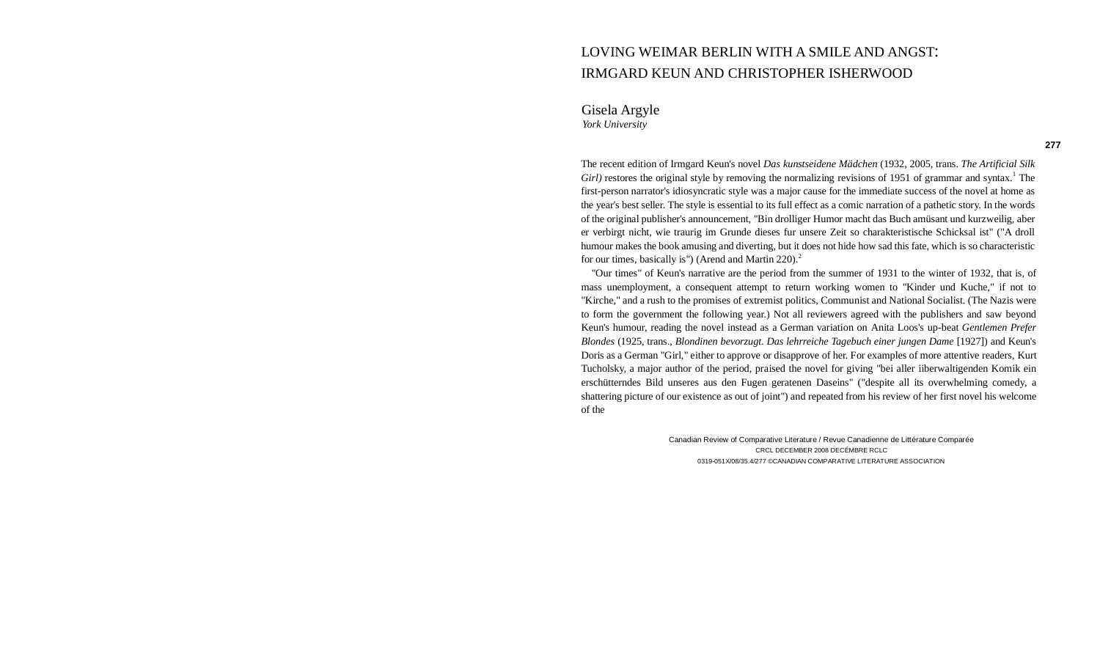# LOVING WEIMAR BERLIN WITH A SMILE AND ANGST: IRMGARD KEUN AND CHRISTOPHER ISHERWOOD

Gisela Argyle *York University*

The recent edition of Irmgard Keun's novel *Das kunstseidene Mädchen* (1932, 2005, trans. *The Artificial Silk*  Girl) restores the original style by removing the normalizing revisions of 1951 of grammar and syntax.<sup>1</sup> The first-person narrator's idiosyncratic style was a major cause for the immediate success of the novel at home as the year's best seller. The style is essential to its full effect as a comic narration of a pathetic story. In the words of the original publisher's announcement, "Bin drolliger Humor macht das Buch amüsant und kurzweilig, aber er verbirgt nicht, wie traurig im Grunde dieses fur unsere Zeit so charakteristische Schicksal ist" ("A droll humour makes the book amusing and diverting, but it does not hide how sad this fate, which is so characteristic for our times, basically is") (Arend and Martin  $220$ ).<sup>2</sup>

"Our times" of Keun's narrative are the period from the summer of 1931 to the winter of 1932, that is, of mass unemployment, a consequent attempt to return working women to "Kinder und Kuche," if not to "Kirche," and a rush to the promises of extremist politics, Communist and National Socialist. (The Nazis were to form the government the following year.) Not all reviewers agreed with the publishers and saw beyond Keun's humour, reading the novel instead as a German variation on Anita Loos's up-beat *Gentlemen Prefer Blondes* (1925, trans., *Blondinen bevorzugt. Das lehrreiche Tagebuch einer jungen Dame* [1927]) and Keun's Doris as a German "Girl," either to approve or disapprove of her. For examples of more attentive readers, Kurt Tucholsky, a major author of the period, praised the novel for giving "bei aller iiberwaltigenden Komik ein erschütterndes Bild unseres aus den Fugen geratenen Daseins" ("despite all its overwhelming comedy, a shattering picture of our existence as out of joint") and repeated from his review of her first novel his welcome of the

> Canadian Review of Comparative Literature / Revue Canadienne de Littérature Comparée CRCL DECEMBER 2008 DECÉMBRE RCLC 0319-051X/08/35.4/277 ©CANADIAN COMPARATIVE LITERATURE ASSOCIATION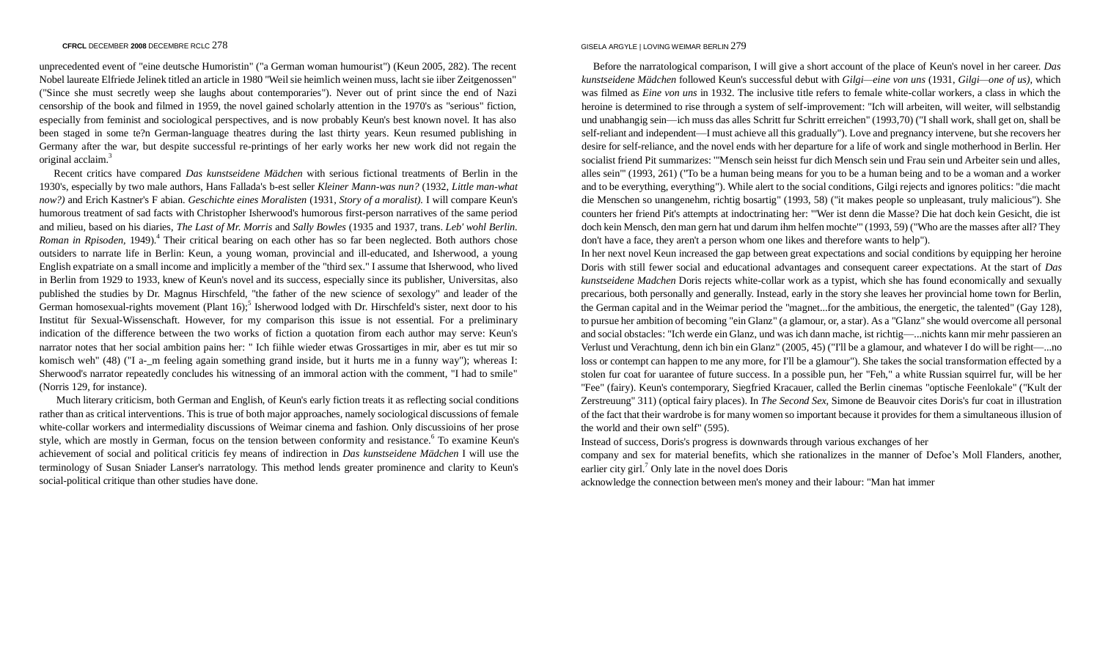unprecedented event of "eine deutsche Humoristin" ("a German woman humourist") (Keun 2005, 282). The recent Nobel laureate Elfriede Jelinek titled an article in 1980 "Weil sie heimlich weinen muss, lacht sie iiber Zeitgenossen" ("Since she must secretly weep she laughs about contemporaries"). Never out of print since the end of Nazi censorship of the book and filmed in 1959, the novel gained scholarly attention in the 1970's as "serious" fiction, especially from feminist and sociological perspectives, and is now probably Keun's best known novel. It has also been staged in some te?n German-language theatres during the last thirty years. Keun resumed publishing in Germany after the war, but despite successful re-printings of her early works her new work did not regain the original acclaim.<sup>3</sup>

Recent critics have compared *Das kunstseidene Mädchen* with serious fictional treatments of Berlin in the 1930's, especially by two male authors, Hans Fallada's b-est seller *Kleiner Mann-was nun?* (1932, *Little man-what now?)* and Erich Kastner's F abian. *Geschichte eines Moralisten* (1931, *Story of a moralist).* I will compare Keun's humorous treatment of sad facts with Christopher Isherwood's humorous first-person narratives of the same period and milieu, based on his diaries, *The Last of Mr. Morris* and *Sally Bowles* (1935 and 1937, trans. *Leb' wohl Berlin.*  Roman in Rpisoden, 1949).<sup>4</sup> Their critical bearing on each other has so far been neglected. Both authors chose outsiders to narrate life in Berlin: Keun, a young woman, provincial and ill-educated, and Isherwood, a young English expatriate on a small income and implicitly a member of the "third sex." I assume that Isherwood, who lived in Berlin from 1929 to 1933, knew of Keun's novel and its success, especially since its publisher, Universitas, also published the studies by Dr. Magnus Hirschfeld, "the father of the new science of sexology" and leader of the German homosexual-rights movement (Plant 16)<sup>5</sup> Isherwood lodged with Dr. Hirschfeld's sister, next door to his Institut für Sexual-Wissenschaft. However, for my comparison this issue is not essential. For a preliminary indication of the difference between the two works of fiction a quotation firom each author may serve: Keun's narrator notes that her social ambition pains her: " Ich fiihle wieder etwas Grossartiges in mir, aber es tut mir so komisch weh" (48) ("I a- m feeling again something grand inside, but it hurts me in a funny way"); whereas I: Sherwood's narrator repeatedly concludes his witnessing of an immoral action with the comment, "I had to smile" (Norris 129, for instance).

Much literary criticism, both German and English, of Keun's early fiction treats it as reflecting social conditions rather than as critical interventions. This is true of both major approaches, namely sociological discussions of female white-collar workers and intermediality discussions of Weimar cinema and fashion. Only discussioins of her prose style, which are mostly in German, focus on the tension between conformity and resistance.<sup>6</sup> To examine Keun's achievement of social and political criticis fey means of indirection in *Das kunstseidene Mädchen* I will use the terminology of Susan Sniader Lanser's narratology. This method lends greater prominence and clarity to Keun's social-political critique than other studies have done.

## GISELA ARGYLE | LOVING WEIMAR BERLIN 279

Before the narratological comparison, I will give a short account of the place of Keun's novel in her career. *Das kunstseidene Mädchen* followed Keun's successful debut with *Gilgi—eine von uns* (1931, *Gilgi—one of us),* which was filmed as *Eine von uns* in 1932. The inclusive title refers to female white-collar workers, a class in which the heroine is determined to rise through a system of self-improvement: "Ich will arbeiten, will weiter, will selbstandig und unabhangig sein—ich muss das alles Schritt fur Schritt erreichen" (1993,70) ("I shall work, shall get on, shall be self-reliant and independent—I must achieve all this gradually"). Love and pregnancy intervene, but she recovers her desire for self-reliance, and the novel ends with her departure for a life of work and single motherhood in Berlin. Her socialist friend Pit summarizes: '"Mensch sein heisst fur dich Mensch sein und Frau sein und Arbeiter sein und alles, alles sein"' (1993, 261) ("To be a human being means for you to be a human being and to be a woman and a worker and to be everything, everything"). While alert to the social conditions, Gilgi rejects and ignores politics: "die macht die Menschen so unangenehm, richtig bosartig" (1993, 58) ("it makes people so unpleasant, truly malicious"). She counters her friend Pit's attempts at indoctrinating her: "'Wer ist denn die Masse? Die hat doch kein Gesicht, die ist doch kein Mensch, den man gern hat und darum ihm helfen mochte'" (1993, 59) ("Who are the masses after all? They don't have a face, they aren't a person whom one likes and therefore wants to help").

In her next novel Keun increased the gap between great expectations and social conditions by equipping her heroine Doris with still fewer social and educational advantages and consequent career expectations. At the start of *Das kunstseidene Madchen* Doris rejects white-collar work as a typist, which she has found economically and sexually precarious, both personally and generally. Instead, early in the story she leaves her provincial home town for Berlin, the German capital and in the Weimar period the "magnet...for the ambitious, the energetic, the talented" (Gay 128), to pursue her ambition of becoming "ein Glanz" (a glamour, or, a star). As a "Glanz" she would overcome all personal and social obstacles: "Ich werde ein Glanz, und was ich dann mache, ist richtig—...nichts kann mir mehr passieren an Verlust und Verachtung, denn ich bin ein Glanz" (2005, 45) ("I'll be a glamour, and whatever I do will be right—...no loss or contempt can happen to me any more, for I'll be a glamour"). She takes the social transformation effected by a stolen fur coat for uarantee of future success. In a possible pun, her "Feh," a white Russian squirrel fur, will be her "Fee" (fairy). Keun's contemporary, Siegfried Kracauer, called the Berlin cinemas "optische Feenlokale" ("Kult der Zerstreuung" 311) (optical fairy places). In *The Second Sex,* Simone de Beauvoir cites Doris's fur coat in illustration of the fact that their wardrobe is for many women so important because it provides for them a simultaneous illusion of the world and their own self" (595).

Instead of success, Doris's progress is downwards through various exchanges of her

company and sex for material benefits, which she rationalizes in the manner of Defoe's Moll Flanders, another, earlier city girl.<sup>7</sup> Only late in the novel does Doris

acknowledge the connection between men's money and their labour: "Man hat immer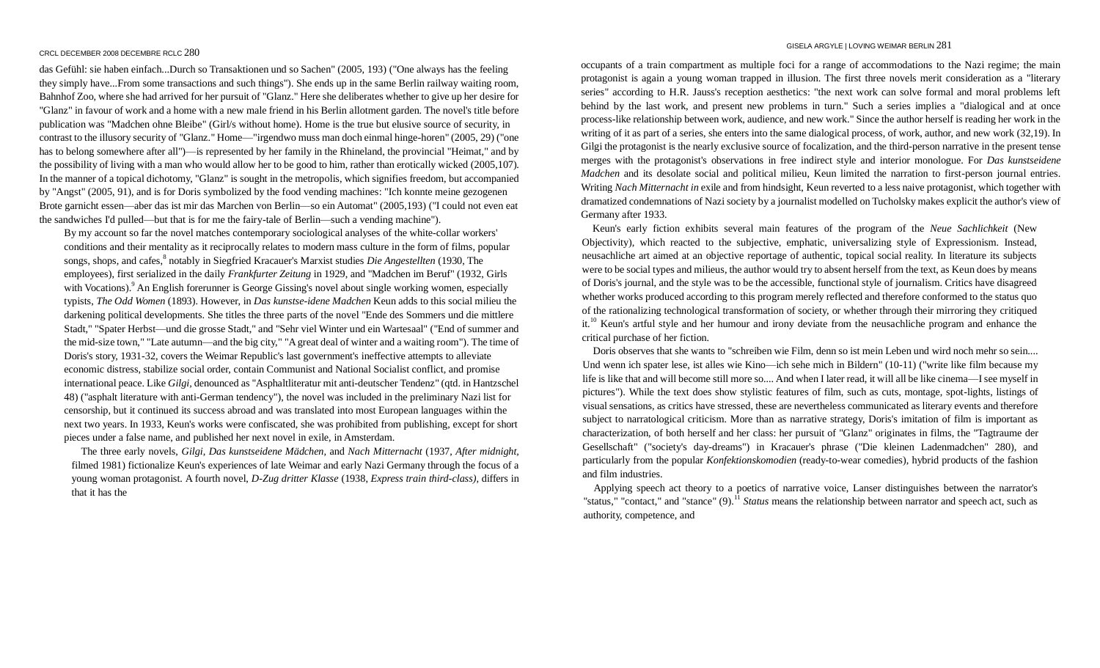das Gefühl: sie haben einfach...Durch so Transaktionen und so Sachen" (2005, 193) ("One always has the feeling they simply have...From some transactions and such things"). She ends up in the same Berlin railway waiting room, Bahnhof Zoo, where she had arrived for her pursuit of "Glanz." Here she deliberates whether to give up her desire for "Glanz" in favour of work and a home with a new male friend in his Berlin allotment garden. The novel's title before publication was "Madchen ohne Bleibe" (Girl/s without home). Home is the true but elusive source of security, in contrast to the illusory security of "Glanz." Home—"irgendwo muss man doch einmal hinge-horen" (2005, 29) ("one has to belong somewhere after all")—is represented by her family in the Rhineland, the provincial "Heimat," and by the possibility of living with a man who would allow her to be good to him, rather than erotically wicked (2005,107). In the manner of a topical dichotomy, "Glanz" is sought in the metropolis, which signifies freedom, but accompanied by "Angst" (2005, 91), and is for Doris symbolized by the food vending machines: "Ich konnte meine gezogenen Brote garnicht essen—aber das ist mir das Marchen von Berlin—so ein Automat" (2005,193) ("I could not even eat the sandwiches I'd pulled—but that is for me the fairy-tale of Berlin—such a vending machine").

By my account so far the novel matches contemporary sociological analyses of the white-collar workers' conditions and their mentality as it reciprocally relates to modern mass culture in the form of films, popular songs, shops, and cafes, <sup>8</sup> notably in Siegfried Kracauer's Marxist studies *Die Angestellten* (1930, The employees), first serialized in the daily *Frankfurter Zeitung* in 1929, and "Madchen im Beruf" (1932, Girls with Vocations).<sup>9</sup> An English forerunner is George Gissing's novel about single working women, especially typists, *The Odd Women* (1893). However, in *Das kunstse-idene Madchen* Keun adds to this social milieu the darkening political developments. She titles the three parts of the novel "Ende des Sommers und die mittlere Stadt," "Spater Herbst—und die grosse Stadt," and "Sehr viel Winter und ein Wartesaal" ("End of summer and the mid-size town," "Late autumn—and the big city," "A great deal of winter and a waiting room"). The time of Doris's story, 1931-32, covers the Weimar Republic's last government's ineffective attempts to alleviate economic distress, stabilize social order, contain Communist and National Socialist conflict, and promise international peace. Like *Gilgi,* denounced as "Asphaltliteratur mit anti-deutscher Tendenz" (qtd. in Hantzschel 48) ("asphalt literature with anti-German tendency"), the novel was included in the preliminary Nazi list for censorship, but it continued its success abroad and was translated into most European languages within the next two years. In 1933, Keun's works were confiscated, she was prohibited from publishing, except for short pieces under a false name, and published her next novel in exile, in Amsterdam.

The three early novels, *Gilgi, Das kunstseidene Mädchen,* and *Nach Mitternacht* (1937, *After midnight,*  filmed 1981) fictionalize Keun's experiences of late Weimar and early Nazi Germany through the focus of a young woman protagonist. A fourth novel, *D-Zug dritter Klasse* (1938, *Express train third-class),* differs in that it has the

occupants of a train compartment as multiple foci for a range of accommodations to the Nazi regime; the main protagonist is again a young woman trapped in illusion. The first three novels merit consideration as a "literary series" according to H.R. Jauss's reception aesthetics: "the next work can solve formal and moral problems left behind by the last work, and present new problems in turn." Such a series implies a "dialogical and at once process-like relationship between work, audience, and new work." Since the author herself is reading her work in the writing of it as part of a series, she enters into the same dialogical process, of work, author, and new work (32,19). In Gilgi the protagonist is the nearly exclusive source of focalization, and the third-person narrative in the present tense merges with the protagonist's observations in free indirect style and interior monologue. For *Das kunstseidene Madchen* and its desolate social and political milieu, Keun limited the narration to first-person journal entries. Writing *Nach Mitternacht in* exile and from hindsight, Keun reverted to a less naive protagonist, which together with dramatized condemnations of Nazi society by a journalist modelled on Tucholsky makes explicit the author's view of Germany after 1933.

Keun's early fiction exhibits several main features of the program of the *Neue Sachlichkeit* (New Objectivity), which reacted to the subjective, emphatic, universalizing style of Expressionism. Instead, neusachliche art aimed at an objective reportage of authentic, topical social reality. In literature its subjects were to be social types and milieus, the author would try to absent herself from the text, as Keun does by means of Doris's journal, and the style was to be the accessible, functional style of journalism. Critics have disagreed whether works produced according to this program merely reflected and therefore conformed to the status quo of the rationalizing technological transformation of society, or whether through their mirroring they critiqued it.<sup>10</sup> Keun's artful style and her humour and irony deviate from the neusachliche program and enhance the critical purchase of her fiction.

Doris observes that she wants to "schreiben wie Film, denn so ist mein Leben und wird noch mehr so sein.... Und wenn ich spater lese, ist alles wie Kino—ich sehe mich in Bildern" (10-11) ("write like film because my life is like that and will become still more so.... And when I later read, it will all be like cinema—I see myself in pictures"). While the text does show stylistic features of film, such as cuts, montage, spot-lights, listings of visual sensations, as critics have stressed, these are nevertheless communicated as literary events and therefore subject to narratological criticism. More than as narrative strategy, Doris's imitation of film is important as characterization, of both herself and her class: her pursuit of "Glanz" originates in films, the "Tagtraume der Gesellschaft" ("society's day-dreams") in Kracauer's phrase ("Die kleinen Ladenmadchen" 280), and particularly from the popular *Konfektionskomodien* (ready-to-wear comedies), hybrid products of the fashion and film industries.

Applying speech act theory to a poetics of narrative voice, Lanser distinguishes between the narrator's "status," "contact," and "stance" (9).<sup>11</sup> *Status* means the relationship between narrator and speech act, such as authority, competence, and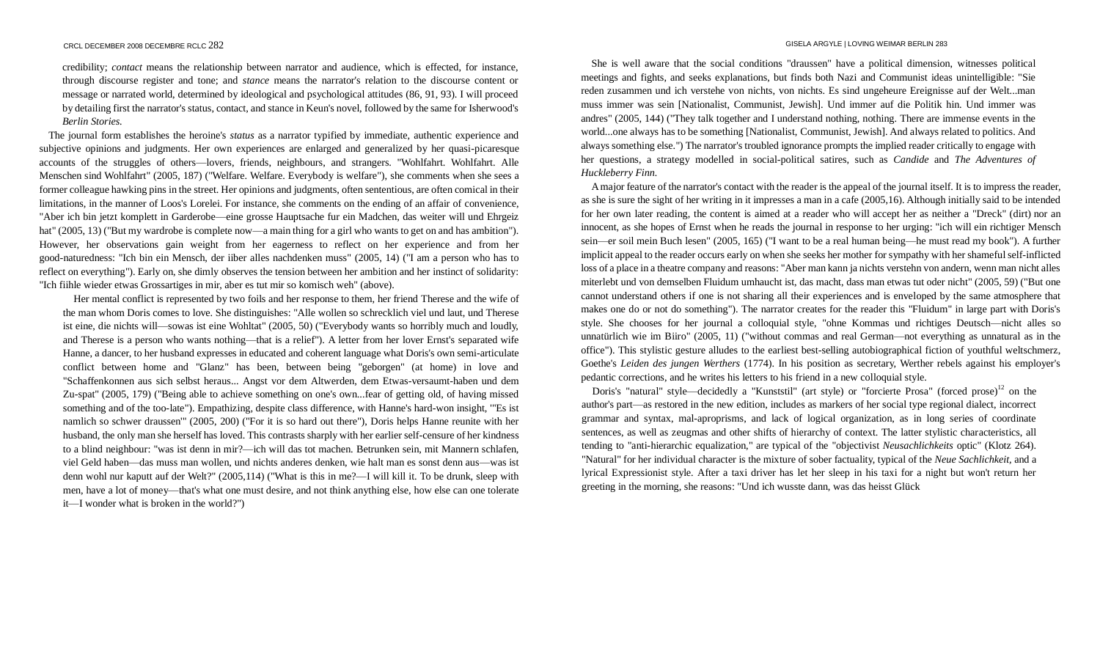credibility; *contact* means the relationship between narrator and audience, which is effected, for instance, through discourse register and tone; and *stance* means the narrator's relation to the discourse content or message or narrated world, determined by ideological and psychological attitudes (86, 91, 93). I will proceed by detailing first the narrator's status, contact, and stance in Keun's novel, followed by the same for Isherwood's *Berlin Stories.*

The journal form establishes the heroine's *status* as a narrator typified by immediate, authentic experience and subjective opinions and judgments. Her own experiences are enlarged and generalized by her quasi-picaresque accounts of the struggles of others—lovers, friends, neighbours, and strangers. "Wohlfahrt. Wohlfahrt. Alle Menschen sind Wohlfahrt" (2005, 187) ("Welfare. Welfare. Everybody is welfare"), she comments when she sees a former colleague hawking pins in the street. Her opinions and judgments, often sententious, are often comical in their limitations, in the manner of Loos's Lorelei. For instance, she comments on the ending of an affair of convenience, "Aber ich bin jetzt komplett in Garderobe—eine grosse Hauptsache fur ein Madchen, das weiter will und Ehrgeiz hat" (2005, 13) ("But my wardrobe is complete now—a main thing for a girl who wants to get on and has ambition"). However, her observations gain weight from her eagerness to reflect on her experience and from her good-naturedness: "Ich bin ein Mensch, der iiber alles nachdenken muss" (2005, 14) ("I am a person who has to reflect on everything"). Early on, she dimly observes the tension between her ambition and her instinct of solidarity: "Ich fiihle wieder etwas Grossartiges in mir, aber es tut mir so komisch weh" (above).

Her mental conflict is represented by two foils and her response to them, her friend Therese and the wife of the man whom Doris comes to love. She distinguishes: "Alle wollen so schrecklich viel und laut, und Therese ist eine, die nichts will—sowas ist eine Wohltat" (2005, 50) ("Everybody wants so horribly much and loudly, and Therese is a person who wants nothing—that is a relief"). A letter from her lover Ernst's separated wife Hanne, a dancer, to her husband expresses in educated and coherent language what Doris's own semi-articulate conflict between home and "Glanz" has been, between being "geborgen" (at home) in love and "Schaffenkonnen aus sich selbst heraus... Angst vor dem Altwerden, dem Etwas-versaumt-haben und dem Zu-spat" (2005, 179) ("Being able to achieve something on one's own...fear of getting old, of having missed something and of the too-late"). Empathizing, despite class difference, with Hanne's hard-won insight, '"Es ist namlich so schwer draussen'" (2005, 200) ("For it is so hard out there"), Doris helps Hanne reunite with her husband, the only man she herself has loved. This contrasts sharply with her earlier self-censure of her kindness to a blind neighbour: "was ist denn in mir?—ich will das tot machen. Betrunken sein, mit Mannern schlafen, viel Geld haben—das muss man wollen, und nichts anderes denken, wie halt man es sonst denn aus—was ist denn wohl nur kaputt auf der Welt?" (2005,114) ("What is this in me?—I will kill it. To be drunk, sleep with men, have a lot of money—that's what one must desire, and not think anything else, how else can one tolerate it—I wonder what is broken in the world?")

#### GISELA ARGYLE | LOVING WEIMAR BERLIN 283

She is well aware that the social conditions "draussen" have a political dimension, witnesses political meetings and fights, and seeks explanations, but finds both Nazi and Communist ideas unintelligible: "Sie reden zusammen und ich verstehe von nichts, von nichts. Es sind ungeheure Ereignisse auf der Welt...man muss immer was sein [Nationalist, Communist, Jewish]. Und immer auf die Politik hin. Und immer was andres" (2005, 144) ("They talk together and I understand nothing, nothing. There are immense events in the world...one always has to be something [Nationalist, Communist, Jewish]. And always related to politics. And always something else.") The narrator's troubled ignorance prompts the implied reader critically to engage with her questions, a strategy modelled in social-political satires, such as *Candide* and *The Adventures of Huckleberry Finn.*

A major feature of the narrator's contact with the reader is the appeal of the journal itself. It is to impress the reader, as she is sure the sight of her writing in it impresses a man in a cafe (2005,16). Although initially said to be intended for her own later reading, the content is aimed at a reader who will accept her as neither a "Dreck" (dirt) nor an innocent, as she hopes of Ernst when he reads the journal in response to her urging: "ich will ein richtiger Mensch sein—er soil mein Buch lesen" (2005, 165) ("I want to be a real human being—he must read my book"). A further implicit appeal to the reader occurs early on when she seeks her mother for sympathy with her shameful self-inflicted loss of a place in a theatre company and reasons: "Aber man kann ja nichts verstehn von andern, wenn man nicht alles miterlebt und von demselben Fluidum umhaucht ist, das macht, dass man etwas tut oder nicht" (2005, 59) ("But one cannot understand others if one is not sharing all their experiences and is enveloped by the same atmosphere that makes one do or not do something"). The narrator creates for the reader this "Fluidum" in large part with Doris's style. She chooses for her journal a colloquial style, "ohne Kommas und richtiges Deutsch—nicht alles so unnatürlich wie im Biiro" (2005, 11) ("without commas and real German—not everything as unnatural as in the office"). This stylistic gesture alludes to the earliest best-selling autobiographical fiction of youthful weltschmerz, Goethe's *Leiden des jungen Werthers* (1774). In his position as secretary, Werther rebels against his employer's pedantic corrections, and he writes his letters to his friend in a new colloquial style.

Doris's "natural" style—decidedly a "Kunststil" (art style) or "forcierte Prosa" (forced prose)<sup>12</sup> on the author's part—as restored in the new edition, includes as markers of her social type regional dialect, incorrect grammar and syntax, mal-aproprisms, and lack of logical organization, as in long series of coordinate sentences, as well as zeugmas and other shifts of hierarchy of context. The latter stylistic characteristics, all tending to "anti-hierarchic equalization," are typical of the "objectivist *Neusachlichkeits* optic" (Klotz 264). "Natural" for her individual character is the mixture of sober factuality, typical of the *Neue Sachlichkeit,* and a lyrical Expressionist style. After a taxi driver has let her sleep in his taxi for a night but won't return her greeting in the morning, she reasons: "Und ich wusste dann, was das heisst Glück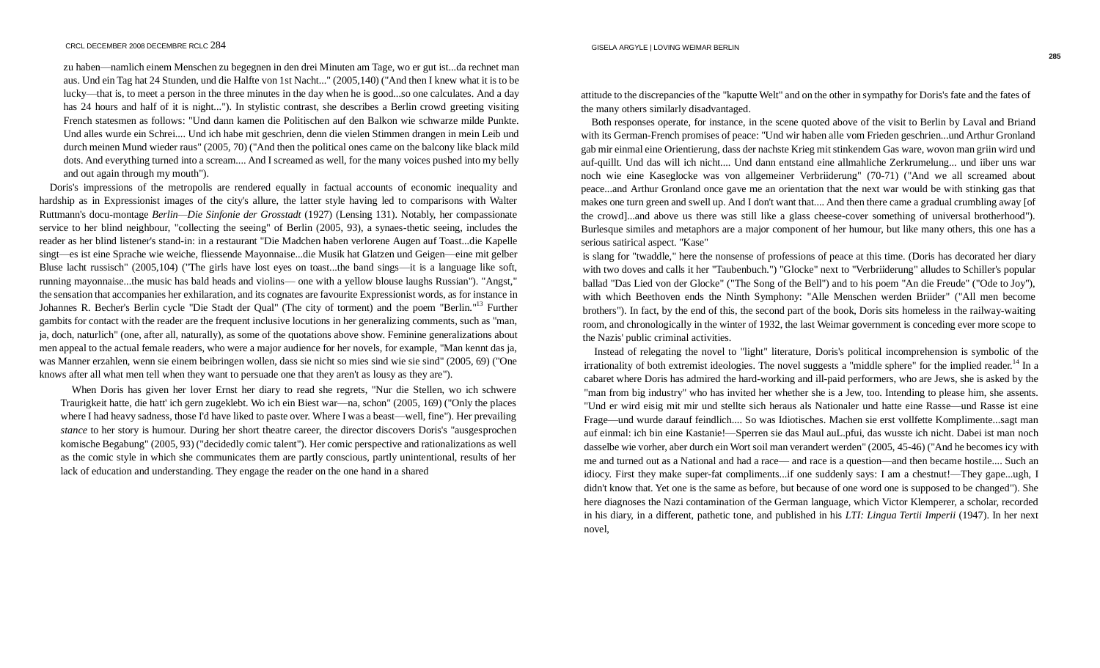zu haben—namlich einem Menschen zu begegnen in den drei Minuten am Tage, wo er gut ist...da rechnet man aus. Und ein Tag hat 24 Stunden, und die Halfte von 1st Nacht..." (2005,140) ("And then I knew what it is to be lucky—that is, to meet a person in the three minutes in the day when he is good...so one calculates. And a day has 24 hours and half of it is night..."). In stylistic contrast, she describes a Berlin crowd greeting visiting French statesmen as follows: "Und dann kamen die Politischen auf den Balkon wie schwarze milde Punkte. Und alles wurde ein Schrei.... Und ich habe mit geschrien, denn die vielen Stimmen drangen in mein Leib und durch meinen Mund wieder raus" (2005, 70) ("And then the political ones came on the balcony like black mild dots. And everything turned into a scream.... And I screamed as well, for the many voices pushed into my belly and out again through my mouth").

Doris's impressions of the metropolis are rendered equally in factual accounts of economic inequality and hardship as in Expressionist images of the city's allure, the latter style having led to comparisons with Walter Ruttmann's docu-montage *Berlin—Die Sinfonie der Grosstadt* (1927) (Lensing 131). Notably, her compassionate service to her blind neighbour, "collecting the seeing" of Berlin (2005, 93), a synaes-thetic seeing, includes the reader as her blind listener's stand-in: in a restaurant "Die Madchen haben verlorene Augen auf Toast...die Kapelle singt—es ist eine Sprache wie weiche, fliessende Mayonnaise...die Musik hat Glatzen und Geigen—eine mit gelber Bluse lacht russisch" (2005,104) ("The girls have lost eyes on toast...the band sings—it is a language like soft, running mayonnaise...the music has bald heads and violins— one with a yellow blouse laughs Russian"). "Angst," the sensation that accompanies her exhilaration, and its cognates are favourite Expressionist words, as for instance in Johannes R. Becher's Berlin cycle "Die Stadt der Qual" (The city of torment) and the poem "Berlin."<sup>13</sup> Further gambits for contact with the reader are the frequent inclusive locutions in her generalizing comments, such as "man, ja, doch, naturlich" (one, after all, naturally), as some of the quotations above show. Feminine generalizations about men appeal to the actual female readers, who were a major audience for her novels, for example, "Man kennt das ja, was Manner erzahlen, wenn sie einem beibringen wollen, dass sie nicht so mies sind wie sie sind" (2005, 69) ("One knows after all what men tell when they want to persuade one that they aren't as lousy as they are").

When Doris has given her lover Ernst her diary to read she regrets, "Nur die Stellen, wo ich schwere Traurigkeit hatte, die hatt' ich gern zugeklebt. Wo ich ein Biest war—na, schon" (2005, 169) ("Only the places where I had heavy sadness, those I'd have liked to paste over. Where I was a beast—well, fine"). Her prevailing *stance* to her story is humour. During her short theatre career, the director discovers Doris's "ausgesprochen komische Begabung" (2005, 93) ("decidedly comic talent"). Her comic perspective and rationalizations as well as the comic style in which she communicates them are partly conscious, partly unintentional, results of her lack of education and understanding. They engage the reader on the one hand in a shared

attitude to the discrepancies of the "kaputte Welt" and on the other in sympathy for Doris's fate and the fates of the many others similarly disadvantaged.

Both responses operate, for instance, in the scene quoted above of the visit to Berlin by Laval and Briand with its German-French promises of peace: "Und wir haben alle vom Frieden geschrien...und Arthur Gronland gab mir einmal eine Orientierung, dass der nachste Krieg mit stinkendem Gas ware, wovon man griin wird und auf-quillt. Und das will ich nicht.... Und dann entstand eine allmahliche Zerkrumelung... und iiber uns war noch wie eine Kaseglocke was von allgemeiner Verbriiderung" (70-71) ("And we all screamed about peace...and Arthur Gronland once gave me an orientation that the next war would be with stinking gas that makes one turn green and swell up. And I don't want that.... And then there came a gradual crumbling away [of the crowd]...and above us there was still like a glass cheese-cover something of universal brotherhood"). Burlesque similes and metaphors are a major component of her humour, but like many others, this one has a serious satirical aspect. "Kase"

is slang for "twaddle," here the nonsense of professions of peace at this time. (Doris has decorated her diary with two doves and calls it her "Taubenbuch.") "Glocke" next to "Verbriiderung" alludes to Schiller's popular ballad "Das Lied von der Glocke" ("The Song of the Bell") and to his poem "An die Freude" ("Ode to Joy"), with which Beethoven ends the Ninth Symphony: "Alle Menschen werden Briider" ("All men become brothers"). In fact, by the end of this, the second part of the book, Doris sits homeless in the railway-waiting room, and chronologically in the winter of 1932, the last Weimar government is conceding ever more scope to the Nazis' public criminal activities.

Instead of relegating the novel to "light" literature, Doris's political incomprehension is symbolic of the irrationality of both extremist ideologies. The novel suggests a "middle sphere" for the implied reader.<sup>14</sup> In a cabaret where Doris has admired the hard-working and ill-paid performers, who are Jews, she is asked by the "man from big industry" who has invited her whether she is a Jew, too. Intending to please him, she assents. "Und er wird eisig mit mir und stellte sich heraus als Nationaler und hatte eine Rasse—und Rasse ist eine Frage—und wurde darauf feindlich.... So was Idiotisches. Machen sie erst vollfette Komplimente...sagt man auf einmal: ich bin eine Kastanie!—Sperren sie das Maul auL.pfui, das wusste ich nicht. Dabei ist man noch dasselbe wie vorher, aber durch ein Wort soil man verandert werden" (2005, 45-46) ("And he becomes icy with me and turned out as a National and had a race— and race is a question—and then became hostile.... Such an idiocy. First they make super-fat compliments...if one suddenly says: I am a chestnut!—They gape...ugh, I didn't know that. Yet one is the same as before, but because of one word one is supposed to be changed"). She here diagnoses the Nazi contamination of the German language, which Victor Klemperer, a scholar, recorded in his diary, in a different, pathetic tone, and published in his *LTI: Lingua Tertii Imperii* (1947). In her next novel,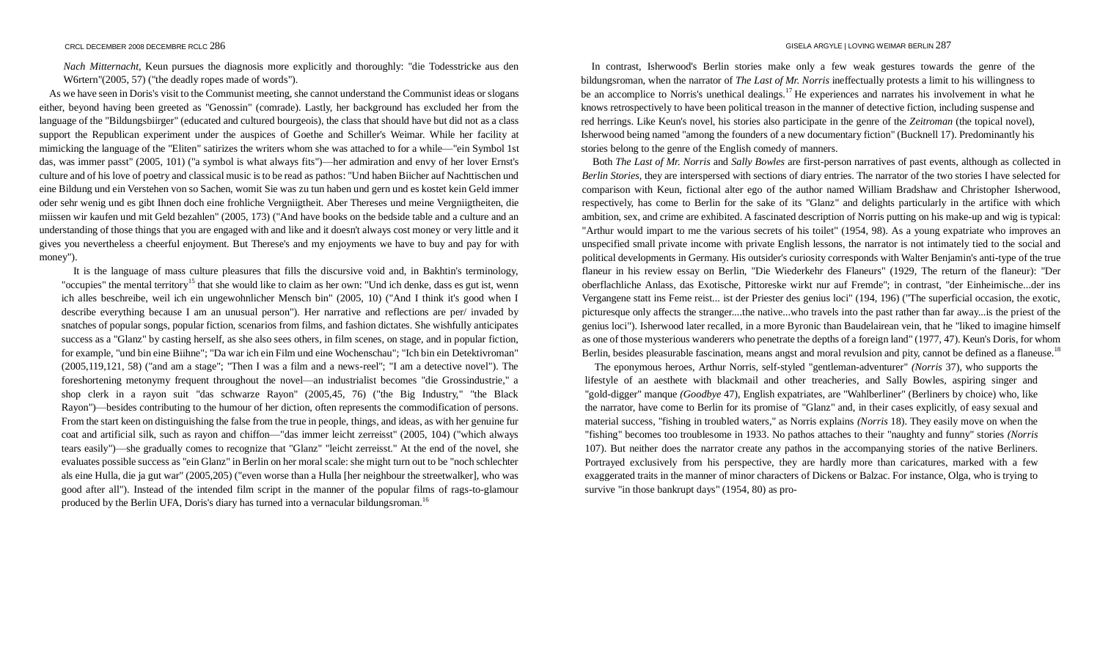*Nach Mitternacht,* Keun pursues the diagnosis more explicitly and thoroughly: "die Todesstricke aus den W6rtern"(2005, 57) ("the deadly ropes made of words").

As we have seen in Doris's visit to the Communist meeting, she cannot understand the Communist ideas or slogans either, beyond having been greeted as "Genossin" (comrade). Lastly, her background has excluded her from the language of the "Bildungsbiirger" (educated and cultured bourgeois), the class that should have but did not as a class support the Republican experiment under the auspices of Goethe and Schiller's Weimar. While her facility at mimicking the language of the "Eliten" satirizes the writers whom she was attached to for a while—"ein Symbol 1st das, was immer passt" (2005, 101) ("a symbol is what always fits")—her admiration and envy of her lover Ernst's culture and of his love of poetry and classical music is to be read as pathos: "Und haben Biicher auf Nachttischen und eine Bildung und ein Verstehen von so Sachen, womit Sie was zu tun haben und gern und es kostet kein Geld immer oder sehr wenig und es gibt Ihnen doch eine frohliche Vergniigtheit. Aber Thereses und meine Vergniigtheiten, die miissen wir kaufen und mit Geld bezahlen" (2005, 173) ("And have books on the bedside table and a culture and an understanding of those things that you are engaged with and like and it doesn't always cost money or very little and it gives you nevertheless a cheerful enjoyment. But Therese's and my enjoyments we have to buy and pay for with money").

It is the language of mass culture pleasures that fills the discursive void and, in Bakhtin's terminology, "occupies" the mental territory<sup>15</sup> that she would like to claim as her own: "Und ich denke, dass es gut ist, wenn ich alles beschreibe, weil ich ein ungewohnlicher Mensch bin" (2005, 10) ("And I think it's good when I describe everything because I am an unusual person"). Her narrative and reflections are per/ invaded by snatches of popular songs, popular fiction, scenarios from films, and fashion dictates. She wishfully anticipates success as a "Glanz" by casting herself, as she also sees others, in film scenes, on stage, and in popular fiction, for example, "und bin eine Biihne"; "Da war ich ein Film und eine Wochenschau"; "Ich bin ein Detektivroman" (2005,119,121, 58) ("and am a stage"; "Then I was a film and a news-reel"; "I am a detective novel"). The foreshortening metonymy frequent throughout the novel—an industrialist becomes "die Grossindustrie," a shop clerk in a rayon suit "das schwarze Rayon" (2005,45, 76) ("the Big Industry," "the Black Rayon")—besides contributing to the humour of her diction, often represents the commodification of persons. From the start keen on distinguishing the false from the true in people, things, and ideas, as with her genuine fur coat and artificial silk, such as rayon and chiffon—"das immer leicht zerreisst" (2005, 104) ("which always tears easily")—she gradually comes to recognize that "Glanz" "leicht zerreisst." At the end of the novel, she evaluates possible success as "ein Glanz" in Berlin on her moral scale: she might turn out to be "noch schlechter als eine Hulla, die ja gut war" (2005,205) ("even worse than a Hulla [her neighbour the streetwalker], who was good after all"). Instead of the intended film script in the manner of the popular films of rags-to-glamour produced by the Berlin UFA, Doris's diary has turned into a vernacular bildungsroman.<sup>16</sup>

In contrast, Isherwood's Berlin stories make only a few weak gestures towards the genre of the bildungsroman, when the narrator of *The Last of Mr. Norris* ineffectually protests a limit to his willingness to be an accomplice to Norris's unethical dealings.<sup>17</sup> He experiences and narrates his involvement in what he knows retrospectively to have been political treason in the manner of detective fiction, including suspense and red herrings. Like Keun's novel, his stories also participate in the genre of the *Zeitroman* (the topical novel), Isherwood being named "among the founders of a new documentary fiction" (Bucknell 17). Predominantly his stories belong to the genre of the English comedy of manners.

Both *The Last of Mr. Norris* and *Sally Bowles* are first-person narratives of past events, although as collected in *Berlin Stories,* they are interspersed with sections of diary entries. The narrator of the two stories I have selected for comparison with Keun, fictional alter ego of the author named William Bradshaw and Christopher Isherwood, respectively, has come to Berlin for the sake of its "Glanz" and delights particularly in the artifice with which ambition, sex, and crime are exhibited. A fascinated description of Norris putting on his make-up and wig is typical: "Arthur would impart to me the various secrets of his toilet" (1954, 98). As a young expatriate who improves an unspecified small private income with private English lessons, the narrator is not intimately tied to the social and political developments in Germany. His outsider's curiosity corresponds with Walter Benjamin's anti-type of the true flaneur in his review essay on Berlin, "Die Wiederkehr des Flaneurs" (1929, The return of the flaneur): "Der oberflachliche Anlass, das Exotische, Pittoreske wirkt nur auf Fremde"; in contrast, "der Einheimische...der ins Vergangene statt ins Feme reist... ist der Priester des genius loci" (194, 196) ("The superficial occasion, the exotic, picturesque only affects the stranger....the native...who travels into the past rather than far away...is the priest of the genius loci"). Isherwood later recalled, in a more Byronic than Baudelairean vein, that he "liked to imagine himself as one of those mysterious wanderers who penetrate the depths of a foreign land" (1977, 47). Keun's Doris, for whom Berlin, besides pleasurable fascination, means angst and moral revulsion and pity, cannot be defined as a flaneuse.<sup>18</sup>

The eponymous heroes, Arthur Norris, self-styled "gentleman-adventurer" *(Norris* 37), who supports the lifestyle of an aesthete with blackmail and other treacheries, and Sally Bowles, aspiring singer and "gold-digger" manque *(Goodbye* 47), English expatriates, are "Wahlberliner" (Berliners by choice) who, like the narrator, have come to Berlin for its promise of "Glanz" and, in their cases explicitly, of easy sexual and material success, "fishing in troubled waters," as Norris explains *(Norris* 18). They easily move on when the "fishing" becomes too troublesome in 1933. No pathos attaches to their "naughty and funny" stories *(Norris*  107). But neither does the narrator create any pathos in the accompanying stories of the native Berliners. Portrayed exclusively from his perspective, they are hardly more than caricatures, marked with a few exaggerated traits in the manner of minor characters of Dickens or Balzac. For instance, Olga, who is trying to survive "in those bankrupt days" (1954, 80) as pro-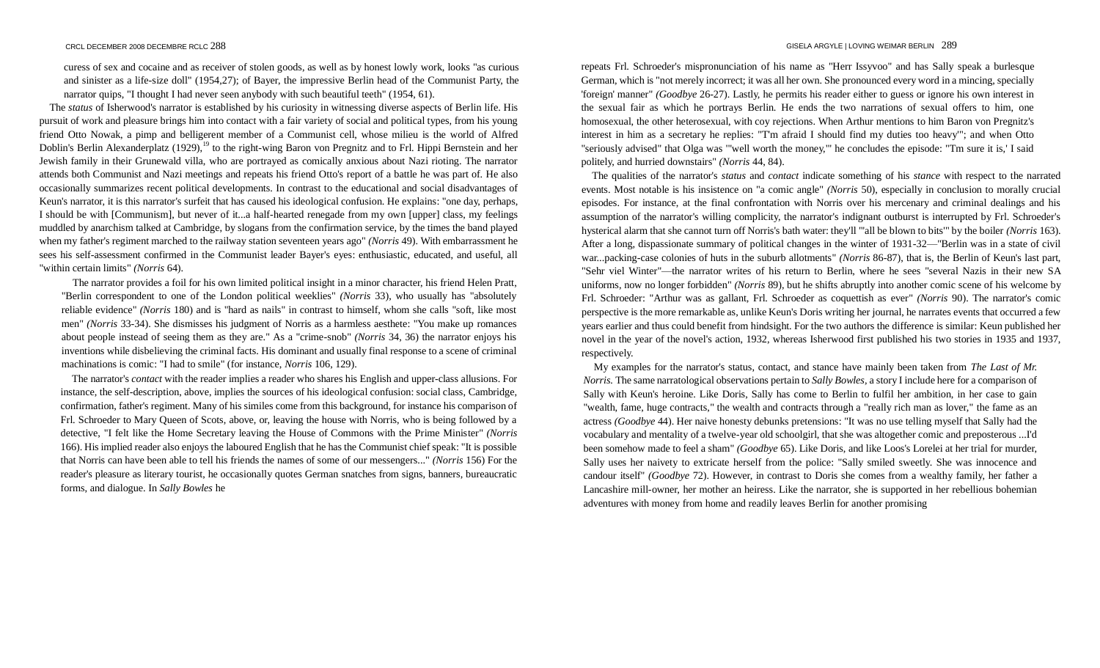curess of sex and cocaine and as receiver of stolen goods, as well as by honest lowly work, looks "as curious and sinister as a life-size doll" (1954,27); of Bayer, the impressive Berlin head of the Communist Party, the narrator quips, "I thought I had never seen anybody with such beautiful teeth" (1954, 61).

The *status* of Isherwood's narrator is established by his curiosity in witnessing diverse aspects of Berlin life. His pursuit of work and pleasure brings him into contact with a fair variety of social and political types, from his young friend Otto Nowak, a pimp and belligerent member of a Communist cell, whose milieu is the world of Alfred Doblin's Berlin Alexanderplatz (1929),<sup>19</sup> to the right-wing Baron von Pregnitz and to Frl. Hippi Bernstein and her Jewish family in their Grunewald villa, who are portrayed as comically anxious about Nazi rioting. The narrator attends both Communist and Nazi meetings and repeats his friend Otto's report of a battle he was part of. He also occasionally summarizes recent political developments. In contrast to the educational and social disadvantages of Keun's narrator, it is this narrator's surfeit that has caused his ideological confusion. He explains: "one day, perhaps, I should be with [Communism], but never of it...a half-hearted renegade from my own [upper] class, my feelings muddled by anarchism talked at Cambridge, by slogans from the confirmation service, by the times the band played when my father's regiment marched to the railway station seventeen years ago" *(Norris* 49). With embarrassment he sees his self-assessment confirmed in the Communist leader Bayer's eyes: enthusiastic, educated, and useful, all "within certain limits" *(Norris* 64).

The narrator provides a foil for his own limited political insight in a minor character, his friend Helen Pratt, "Berlin correspondent to one of the London political weeklies" *(Norris* 33), who usually has "absolutely reliable evidence" *(Norris* 180) and is "hard as nails" in contrast to himself, whom she calls "soft, like most men" *(Norris* 33-34). She dismisses his judgment of Norris as a harmless aesthete: "You make up romances about people instead of seeing them as they are." As a "crime-snob" *(Norris* 34, 36) the narrator enjoys his inventions while disbelieving the criminal facts. His dominant and usually final response to a scene of criminal machinations is comic: "I had to smile" (for instance, *Norris* 106, 129).

The narrator's *contact* with the reader implies a reader who shares his English and upper-class allusions. For instance, the self-description, above, implies the sources of his ideological confusion: social class, Cambridge, confirmation, father's regiment. Many of his similes come from this background, for instance his comparison of Frl. Schroeder to Mary Queen of Scots, above, or, leaving the house with Norris, who is being followed by a detective, "I felt like the Home Secretary leaving the House of Commons with the Prime Minister" *(Norris*  166). His implied reader also enjoys the laboured English that he has the Communist chief speak: "It is possible that Norris can have been able to tell his friends the names of some of our messengers..." *(Norris* 156) For the reader's pleasure as literary tourist, he occasionally quotes German snatches from signs, banners, bureaucratic forms, and dialogue. In *Sally Bowles* he

repeats Frl. Schroeder's mispronunciation of his name as "Herr Issyvoo" and has Sally speak a burlesque German, which is "not merely incorrect; it was all her own. She pronounced every word in a mincing, specially 'foreign' manner" *(Goodbye* 26-27). Lastly, he permits his reader either to guess or ignore his own interest in the sexual fair as which he portrays Berlin. He ends the two narrations of sexual offers to him, one homosexual, the other heterosexual, with coy rejections. When Arthur mentions to him Baron von Pregnitz's interest in him as a secretary he replies: "T'm afraid I should find my duties too heavy'"; and when Otto "seriously advised" that Olga was '"well worth the money,'" he concludes the episode: "Tm sure it is,' I said politely, and hurried downstairs" *(Norris* 44, 84).

The qualities of the narrator's *status* and *contact* indicate something of his *stance* with respect to the narrated events. Most notable is his insistence on "a comic angle" *(Norris* 50), especially in conclusion to morally crucial episodes. For instance, at the final confrontation with Norris over his mercenary and criminal dealings and his assumption of the narrator's willing complicity, the narrator's indignant outburst is interrupted by Frl. Schroeder's hysterical alarm that she cannot turn off Norris's bath water: they'll "'all be blown to bits'" by the boiler *(Norris* 163). After a long, dispassionate summary of political changes in the winter of 1931-32—"Berlin was in a state of civil war...packing-case colonies of huts in the suburb allotments" *(Norris* 86-87), that is, the Berlin of Keun's last part, "Sehr viel Winter"—the narrator writes of his return to Berlin, where he sees "several Nazis in their new SA uniforms, now no longer forbidden" *(Norris* 89), but he shifts abruptly into another comic scene of his welcome by Frl. Schroeder: "Arthur was as gallant, Frl. Schroeder as coquettish as ever" *(Norris* 90). The narrator's comic perspective is the more remarkable as, unlike Keun's Doris writing her journal, he narrates events that occurred a few years earlier and thus could benefit from hindsight. For the two authors the difference is similar: Keun published her novel in the year of the novel's action, 1932, whereas Isherwood first published his two stories in 1935 and 1937, respectively.

My examples for the narrator's status, contact, and stance have mainly been taken from *The Last of Mr. Norris.* The same narratological observations pertain to *Sally Bowles,* a story I include here for a comparison of Sally with Keun's heroine. Like Doris, Sally has come to Berlin to fulfil her ambition, in her case to gain "wealth, fame, huge contracts," the wealth and contracts through a "really rich man as lover," the fame as an actress *(Goodbye* 44). Her naive honesty debunks pretensions: "It was no use telling myself that Sally had the vocabulary and mentality of a twelve-year old schoolgirl, that she was altogether comic and preposterous ...I'd been somehow made to feel a sham" *(Goodbye* 65). Like Doris, and like Loos's Lorelei at her trial for murder, Sally uses her naivety to extricate herself from the police: "Sally smiled sweetly. She was innocence and candour itself" *(Goodbye* 72). However, in contrast to Doris she comes from a wealthy family, her father a Lancashire mill-owner, her mother an heiress. Like the narrator, she is supported in her rebellious bohemian adventures with money from home and readily leaves Berlin for another promising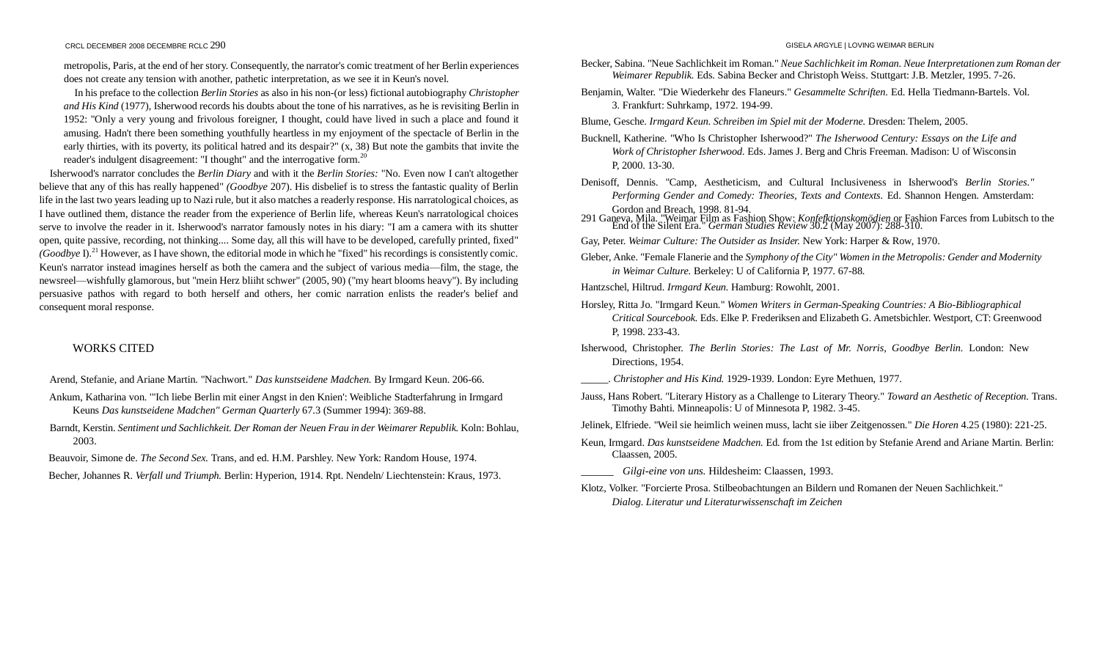metropolis, Paris, at the end of her story. Consequently, the narrator's comic treatment of her Berlin experiences does not create any tension with another, pathetic interpretation, as we see it in Keun's novel.

In his preface to the collection *Berlin Stories* as also in his non-(or less) fictional autobiography *Christopher and His Kind* (1977), Isherwood records his doubts about the tone of his narratives, as he is revisiting Berlin in 1952: "Only a very young and frivolous foreigner, I thought, could have lived in such a place and found it amusing. Hadn't there been something youthfully heartless in my enjoyment of the spectacle of Berlin in the early thirties, with its poverty, its political hatred and its despair?" (x, 38) But note the gambits that invite the reader's indulgent disagreement: "I thought" and the interrogative form.<sup>20</sup>

Isherwood's narrator concludes the *Berlin Diary* and with it the *Berlin Stories:* "No. Even now I can't altogether believe that any of this has really happened" *(Goodbye* 207). His disbelief is to stress the fantastic quality of Berlin life in the last two years leading up to Nazi rule, but it also matches a readerly response. His narratological choices, as I have outlined them, distance the reader from the experience of Berlin life, whereas Keun's narratological choices serve to involve the reader in it. Isherwood's narrator famously notes in his diary: "I am a camera with its shutter open, quite passive, recording, not thinking.... Some day, all this will have to be developed, carefully printed, fixed" *(Goodbye I).*<sup>21</sup> However, as I have shown, the editorial mode in which he "fixed" his recordings is consistently comic. Keun's narrator instead imagines herself as both the camera and the subject of various media—film, the stage, the newsreel—wishfully glamorous, but "mein Herz bliiht schwer" (2005, 90) ("my heart blooms heavy"). By including persuasive pathos with regard to both herself and others, her comic narration enlists the reader's belief and consequent moral response.

# WORKS CITED

Arend, Stefanie, and Ariane Martin. "Nachwort." *Das kunstseidene Madchen.* By Irmgard Keun. 206-66.

- Ankum, Katharina von. '"Ich liebe Berlin mit einer Angst in den Knien': Weibliche Stadterfahrung in Irmgard Keuns *Das kunstseidene Madchen" German Quarterly* 67.3 (Summer 1994): 369-88.
- Barndt, Kerstin. *Sentiment und Sachlichkeit. Der Roman der Neuen Frau in der Weimarer Republik.* Koln: Bohlau, 2003.
- Beauvoir, Simone de. *The Second Sex.* Trans, and ed. H.M. Parshley. New York: Random House, 1974.
- Becher, Johannes R. *Verfall und Triumph.* Berlin: Hyperion, 1914. Rpt. Nendeln/ Liechtenstein: Kraus, 1973.
- Becker, Sabina. "Neue Sachlichkeit im Roman." *Neue Sachlichkeit im Roman. Neue Interpretationen zum Roman der Weimarer Republik.* Eds. Sabina Becker and Christoph Weiss. Stuttgart: J.B. Metzler, 1995. 7-26.
- Benjamin, Walter. "Die Wiederkehr des Flaneurs." *Gesammelte Schriften.* Ed. Hella Tiedmann-Bartels. Vol. 3. Frankfurt: Suhrkamp, 1972. 194-99.

Blume, Gesche. *Irmgard Keun. Schreiben im Spiel mit der Moderne.* Dresden: Thelem, 2005.

- Bucknell, Katherine. "Who Is Christopher Isherwood?" *The Isherwood Century: Essays on the Life and Work of Christopher Isherwood.* Eds. James J. Berg and Chris Freeman. Madison: U of Wisconsin P, 2000. 13-30.
- Denisoff, Dennis. "Camp, Aestheticism, and Cultural Inclusiveness in Isherwood's *Berlin Stories." Performing Gender and Comedy: Theories, Texts and Contexts.* Ed. Shannon Hengen. Amsterdam: Gordon and Breach, 1998. 81-94.
- 291 Ganeva, Mila. "Weimar Film as Fashion Show: *Konfefktionskomödien* or Fashion Farces from Lubitsch to the End of the Silent Era." *German Studies Review* 30.2 (May 2007): 288-310.

Gay, Peter. *Weimar Culture: The Outsider as Insider.* New York: Harper & Row, 1970.

- Gleber, Anke. "Female Flanerie and the *Symphony of the City" Women in the Metropolis: Gender and Modernity in Weimar Culture.* Berkeley: U of California P, 1977. 67-88.
- Hantzschel, Hiltrud. *Irmgard Keun.* Hamburg: Rowohlt, 2001.
- Horsley, Ritta Jo. "Irmgard Keun." *Women Writers in German-Speaking Countries: A Bio-Bibliographical Critical Sourcebook.* Eds. Elke P. Frederiksen and Elizabeth G. Ametsbichler. Westport, CT: Greenwood P, 1998. 233-43.
- Isherwood, Christopher. *The Berlin Stories: The Last of Mr. Norris, Goodbye Berlin.* London: New Directions, 1954.

- Jauss, Hans Robert. "Literary History as a Challenge to Literary Theory." *Toward an Aesthetic of Reception.* Trans. Timothy Bahti. Minneapolis: U of Minnesota P, 1982. 3-45.
- Jelinek, Elfriede. "Weil sie heimlich weinen muss, lacht sie iiber Zeitgenossen." *Die Horen* 4.25 (1980): 221-25.
- Keun, Irmgard. *Das kunstseidene Madchen.* Ed. from the 1st edition by Stefanie Arend and Ariane Martin. Berlin: Claassen, 2005.

\_\_\_\_\_\_ *Gilgi-eine von uns.* Hildesheim: Claassen, 1993.

Klotz, Volker. "Forcierte Prosa. Stilbeobachtungen an Bildern und Romanen der Neuen Sachlichkeit." *Dialog. Literatur und Literaturwissenschaft im Zeichen*

\_\_\_\_\_. *Christopher and His Kind.* 1929-1939. London: Eyre Methuen, 1977.